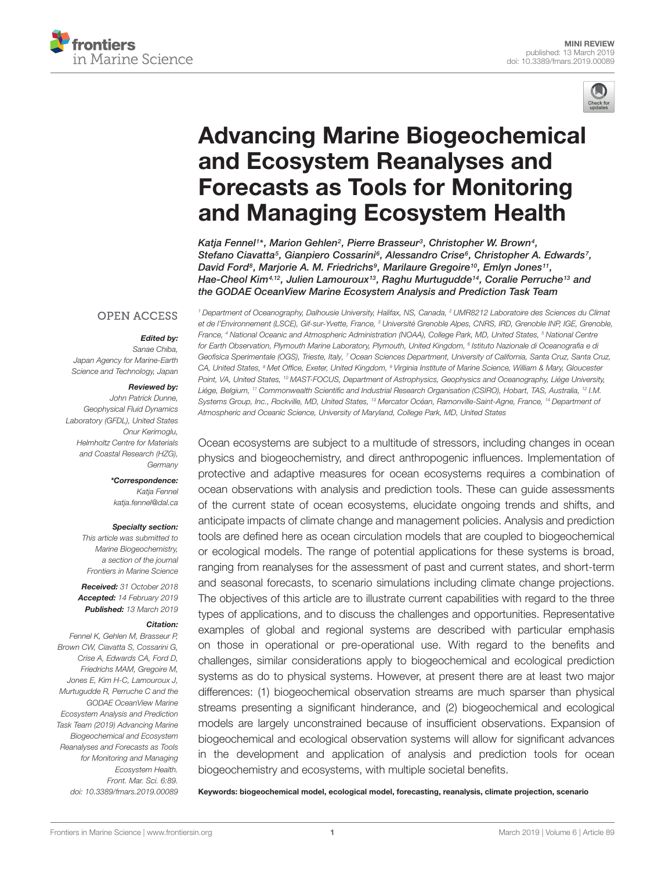



# [Advancing Marine Biogeochemical](https://www.frontiersin.org/articles/10.3389/fmars.2019.00089/full) and Ecosystem Reanalyses and Forecasts as Tools for Monitoring and Managing Ecosystem Health

[Katja Fennel](http://loop.frontiersin.org/people/213377/overview)1\*, [Marion Gehlen](http://loop.frontiersin.org/people/336775/overview)<sup>2</sup>, [Pierre Brasseur](http://loop.frontiersin.org/people/609022/overview)<sup>3</sup>, [Christopher W. Brown](http://loop.frontiersin.org/people/691566/overview)<sup>4</sup>, [Stefano Ciavatta](http://loop.frontiersin.org/people/319870/overview)5, [Gianpiero Cossarini](http://loop.frontiersin.org/people/643923/overview)6, [Alessandro Crise](http://loop.frontiersin.org/people/514195/overview)6, [Christopher A. Edwards](http://loop.frontiersin.org/people/691681/overview)7, [David Ford](http://loop.frontiersin.org/people/637194/overview)<sup>s</sup>, [Marjorie A. M. Friedrichs](http://loop.frontiersin.org/people/226542/overview)<sup>9</sup>, [Marilaure Gregoire](http://loop.frontiersin.org/people/123849/overview)<sup>10</sup>, [Emlyn Jones](http://loop.frontiersin.org/people/256285/overview)<sup>11</sup>, Hae-Cheol Kim<sup>4,12</sup>, [Julien Lamouroux](http://loop.frontiersin.org/people/688156/overview)<sup>13</sup>, [Raghu Murtugudde](http://loop.frontiersin.org/people/215836/overview)<sup>14</sup>, Coralie Perruche<sup>13</sup> and the GODAE OceanView Marine Ecosystem Analysis and Prediction Task Team

#### **OPEN ACCESS**

#### Edited by:

Sanae Chiba, Japan Agency for Marine-Earth Science and Technology, Japan

#### Reviewed by:

John Patrick Dunne, Geophysical Fluid Dynamics Laboratory (GFDL), United States Onur Kerimoglu, Helmholtz Centre for Materials and Coastal Research (HZG), **Germany** 

#### \*Correspondence:

Katia Fennel katja.fennel@dal.ca

#### Specialty section:

This article was submitted to Marine Biogeochemistry, a section of the journal Frontiers in Marine Science

Received: 31 October 2018 Accepted: 14 February 2019 Published: 13 March 2019

#### Citation:

Fennel K, Gehlen M, Brasseur P, Brown CW, Ciavatta S, Cossarini G, Crise A, Edwards CA, Ford D, Friedrichs MAM, Gregoire M, Jones E, Kim H-C, Lamouroux J, Murtugudde R, Perruche C and the GODAE OceanView Marine Ecosystem Analysis and Prediction Task Team (2019) Advancing Marine Biogeochemical and Ecosystem Reanalyses and Forecasts as Tools for Monitoring and Managing Ecosystem Health. Front. Mar. Sci. 6:89. doi: [10.3389/fmars.2019.00089](https://doi.org/10.3389/fmars.2019.00089)

<sup>1</sup> Department of Oceanography, Dalhousie University, Halifax, NS, Canada, <sup>2</sup> UMR8212 Laboratoire des Sciences du Climat et de l'Environnement (LSCE), Gif-sur-Yvette, France, <sup>3</sup> Université Grenoble Alpes, CNRS, IRD, Grenoble INP, IGE, Grenoble. France, <sup>4</sup> National Oceanic and Atmospheric Administration (NOAA), College Park, MD, United States, <sup>5</sup> National Centre for Earth Observation, Plymouth Marine Laboratory, Plymouth, United Kingdom, <sup>s</sup> Istituto Nazionale di Oceanografia e d Geofisica Sperimentale (OGS), Trieste, Italy, <sup>7</sup> Ocean Sciences Department, University of California, Santa Cruz, Santa Cruz, CA, United States, <sup>8</sup> Met Office, Exeter, United Kingdom, <sup>9</sup> Virginia Institute of Marine Science, William & Mary, Gloucester Point, VA, United States, <sup>10</sup> MAST-FOCUS, Department of Astrophysics, Geophysics and Oceanography, Liége University, Liége, Belgium, <sup>11</sup> Commonwealth Scientific and Industrial Research Organisation (CSIRO), Hobart, TAS, Australia, <sup>12</sup> I.M. Systems Group, Inc., Rockville, MD, United States, <sup>13</sup> Mercator Océan, Ramonville-Saint-Agne, France, <sup>14</sup> Department of Atmospheric and Oceanic Science, University of Maryland, College Park, MD, United States

Ocean ecosystems are subject to a multitude of stressors, including changes in ocean physics and biogeochemistry, and direct anthropogenic influences. Implementation of protective and adaptive measures for ocean ecosystems requires a combination of ocean observations with analysis and prediction tools. These can guide assessments of the current state of ocean ecosystems, elucidate ongoing trends and shifts, and anticipate impacts of climate change and management policies. Analysis and prediction tools are defined here as ocean circulation models that are coupled to biogeochemical or ecological models. The range of potential applications for these systems is broad, ranging from reanalyses for the assessment of past and current states, and short-term and seasonal forecasts, to scenario simulations including climate change projections. The objectives of this article are to illustrate current capabilities with regard to the three types of applications, and to discuss the challenges and opportunities. Representative examples of global and regional systems are described with particular emphasis on those in operational or pre-operational use. With regard to the benefits and challenges, similar considerations apply to biogeochemical and ecological prediction systems as do to physical systems. However, at present there are at least two major differences: (1) biogeochemical observation streams are much sparser than physical streams presenting a significant hinderance, and (2) biogeochemical and ecological models are largely unconstrained because of insufficient observations. Expansion of biogeochemical and ecological observation systems will allow for significant advances in the development and application of analysis and prediction tools for ocean biogeochemistry and ecosystems, with multiple societal benefits.

Keywords: biogeochemical model, ecological model, forecasting, reanalysis, climate projection, scenario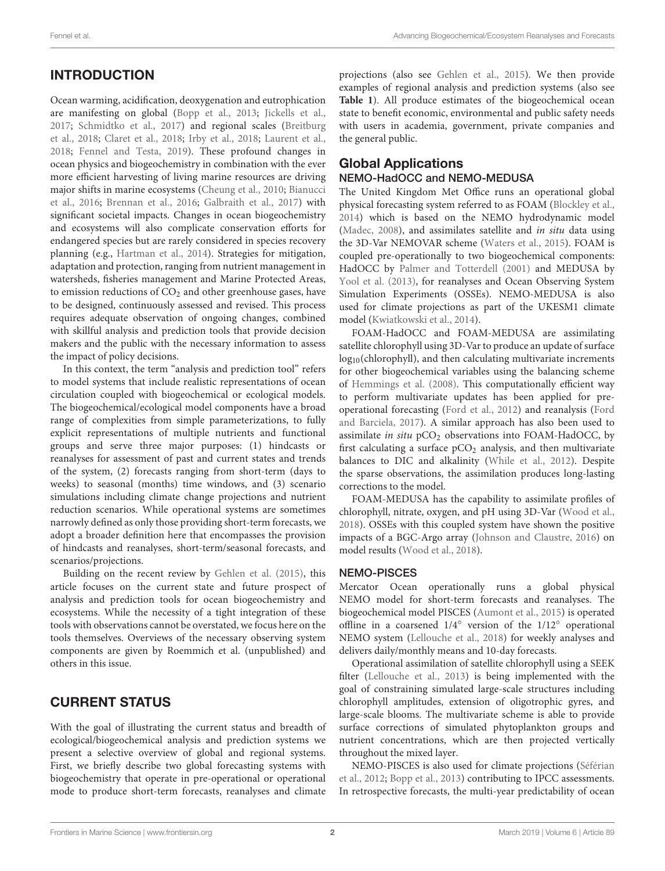Ocean warming, acidification, deoxygenation and eutrophication are manifesting on global [\(Bopp et al.,](#page-5-0) [2013;](#page-5-0) [Jickells et al.,](#page-6-0) [2017;](#page-6-0) [Schmidtko et al.,](#page-7-0) [2017\)](#page-7-0) and regional scales [\(Breitburg](#page-5-1) [et al.,](#page-5-1) [2018;](#page-5-1) [Claret et al.,](#page-5-2) [2018;](#page-5-2) [Irby et al.,](#page-6-1) [2018;](#page-6-1) [Laurent et al.,](#page-6-2) [2018;](#page-6-2) [Fennel and Testa,](#page-6-3) [2019\)](#page-6-3). These profound changes in ocean physics and biogeochemistry in combination with the ever more efficient harvesting of living marine resources are driving major shifts in marine ecosystems [\(Cheung et al.,](#page-5-3) [2010;](#page-5-3) [Bianucci](#page-5-4) [et al.,](#page-5-4) [2016;](#page-5-4) [Brennan et al.,](#page-5-5) [2016;](#page-5-5) [Galbraith et al.,](#page-6-4) [2017\)](#page-6-4) with significant societal impacts. Changes in ocean biogeochemistry and ecosystems will also complicate conservation efforts for endangered species but are rarely considered in species recovery planning (e.g., [Hartman et al.,](#page-6-5) [2014\)](#page-6-5). Strategies for mitigation, adaptation and protection, ranging from nutrient management in watersheds, fisheries management and Marine Protected Areas, to emission reductions of  $CO<sub>2</sub>$  and other greenhouse gases, have to be designed, continuously assessed and revised. This process requires adequate observation of ongoing changes, combined with skillful analysis and prediction tools that provide decision makers and the public with the necessary information to assess the impact of policy decisions.

In this context, the term "analysis and prediction tool" refers to model systems that include realistic representations of ocean circulation coupled with biogeochemical or ecological models. The biogeochemical/ecological model components have a broad range of complexities from simple parameterizations, to fully explicit representations of multiple nutrients and functional groups and serve three major purposes: (1) hindcasts or reanalyses for assessment of past and current states and trends of the system, (2) forecasts ranging from short-term (days to weeks) to seasonal (months) time windows, and (3) scenario simulations including climate change projections and nutrient reduction scenarios. While operational systems are sometimes narrowly defined as only those providing short-term forecasts, we adopt a broader definition here that encompasses the provision of hindcasts and reanalyses, short-term/seasonal forecasts, and scenarios/projections.

Building on the recent review by [Gehlen et al.](#page-6-6) [\(2015\)](#page-6-6), this article focuses on the current state and future prospect of analysis and prediction tools for ocean biogeochemistry and ecosystems. While the necessity of a tight integration of these tools with observations cannot be overstated, we focus here on the tools themselves. Overviews of the necessary observing system components are given by Roemmich et al. (unpublished) and others in this issue.

# CURRENT STATUS

With the goal of illustrating the current status and breadth of ecological/biogeochemical analysis and prediction systems we present a selective overview of global and regional systems. First, we briefly describe two global forecasting systems with biogeochemistry that operate in pre-operational or operational mode to produce short-term forecasts, reanalyses and climate

projections (also see [Gehlen et al.,](#page-6-6) [2015\)](#page-6-6). We then provide examples of regional analysis and prediction systems (also see **[Table 1](#page-2-0)**). All produce estimates of the biogeochemical ocean state to benefit economic, environmental and public safety needs with users in academia, government, private companies and the general public.

# Global Applications

### NEMO-HadOCC and NEMO-MEDUSA

The United Kingdom Met Office runs an operational global physical forecasting system referred to as FOAM [\(Blockley et al.,](#page-5-6) [2014\)](#page-5-6) which is based on the NEMO hydrodynamic model [\(Madec,](#page-7-1) [2008\)](#page-7-1), and assimilates satellite and in situ data using the 3D-Var NEMOVAR scheme [\(Waters et al.,](#page-7-2) [2015\)](#page-7-2). FOAM is coupled pre-operationally to two biogeochemical components: HadOCC by [Palmer and Totterdell](#page-7-3) [\(2001\)](#page-7-3) and MEDUSA by [Yool et al.](#page-8-0) [\(2013\)](#page-8-0), for reanalyses and Ocean Observing System Simulation Experiments (OSSEs). NEMO-MEDUSA is also used for climate projections as part of the UKESM1 climate model [\(Kwiatkowski et al.,](#page-6-7) [2014\)](#page-6-7).

FOAM-HadOCC and FOAM-MEDUSA are assimilating satellite chlorophyll using 3D-Var to produce an update of surface log10(chlorophyll), and then calculating multivariate increments for other biogeochemical variables using the balancing scheme of [Hemmings et al.](#page-6-8) [\(2008\)](#page-6-8). This computationally efficient way to perform multivariate updates has been applied for preoperational forecasting [\(Ford et al.,](#page-6-9) [2012\)](#page-6-9) and reanalysis [\(Ford](#page-6-10) [and Barciela,](#page-6-10) [2017\)](#page-6-10). A similar approach has also been used to assimilate in situ  $pCO<sub>2</sub>$  observations into FOAM-HadOCC, by first calculating a surface  $pCO<sub>2</sub>$  analysis, and then multivariate balances to DIC and alkalinity [\(While et al.,](#page-7-4) [2012\)](#page-7-4). Despite the sparse observations, the assimilation produces long-lasting corrections to the model.

FOAM-MEDUSA has the capability to assimilate profiles of chlorophyll, nitrate, oxygen, and pH using 3D-Var [\(Wood et al.,](#page-7-5) [2018\)](#page-7-5). OSSEs with this coupled system have shown the positive impacts of a BGC-Argo array [\(Johnson and Claustre,](#page-6-11) [2016\)](#page-6-11) on model results [\(Wood et al.,](#page-7-5) [2018\)](#page-7-5).

## NEMO-PISCES

Mercator Ocean operationally runs a global physical NEMO model for short-term forecasts and reanalyses. The biogeochemical model PISCES [\(Aumont et al.,](#page-5-7) [2015\)](#page-5-7) is operated offline in a coarsened 1/4◦ version of the 1/12◦ operational NEMO system [\(Lellouche et al.,](#page-7-6) [2018\)](#page-7-6) for weekly analyses and delivers daily/monthly means and 10-day forecasts.

Operational assimilation of satellite chlorophyll using a SEEK filter [\(Lellouche et al.,](#page-7-7) [2013\)](#page-7-7) is being implemented with the goal of constraining simulated large-scale structures including chlorophyll amplitudes, extension of oligotrophic gyres, and large-scale blooms. The multivariate scheme is able to provide surface corrections of simulated phytoplankton groups and nutrient concentrations, which are then projected vertically throughout the mixed layer.

NEMO-PISCES is also used for climate projections [\(Séférian](#page-7-8) [et al.,](#page-7-8) [2012;](#page-7-8) [Bopp et al.,](#page-5-0) [2013\)](#page-5-0) contributing to IPCC assessments. In retrospective forecasts, the multi-year predictability of ocean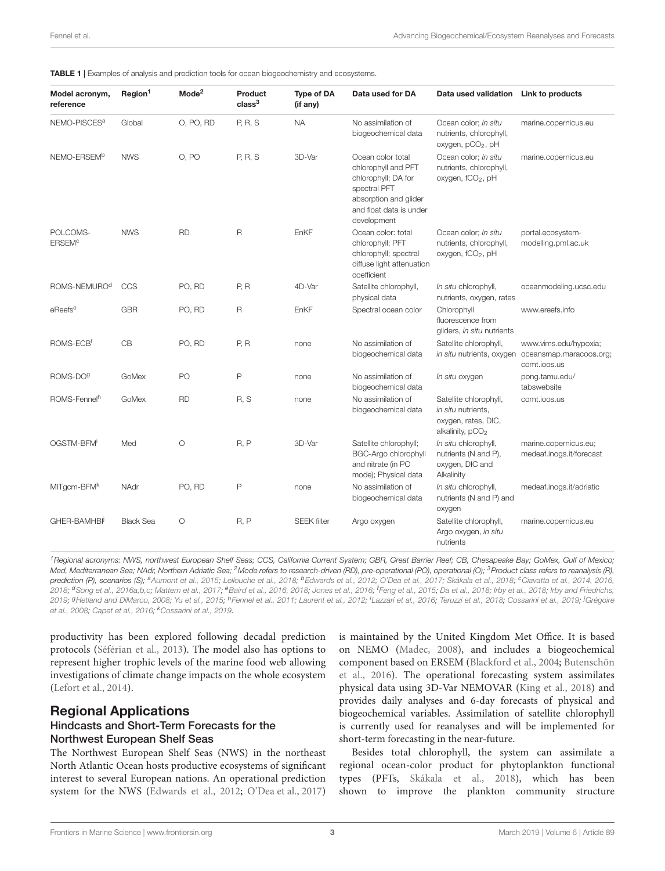<span id="page-2-0"></span>

| Model acronym,<br>reference          | Region <sup>1</sup> | Mode <sup>2</sup> | Product<br>class <sup>3</sup> | <b>Type of DA</b><br>(if any) | Data used for DA                                                                                                                                   | Data used validation                                                                                | Link to products                                                 |
|--------------------------------------|---------------------|-------------------|-------------------------------|-------------------------------|----------------------------------------------------------------------------------------------------------------------------------------------------|-----------------------------------------------------------------------------------------------------|------------------------------------------------------------------|
| NEMO-PISCES <sup>a</sup>             | Global              | O, PO, RD         | P, R, S                       | <b>NA</b>                     | No assimilation of<br>biogeochemical data                                                                                                          | Ocean color; In situ<br>nutrients, chlorophyll,<br>oxygen, pCO <sub>2</sub> , pH                    | marine.copernicus.eu                                             |
| NEMO-ERSEM <sup>b</sup>              | <b>NWS</b>          | 0. PO             | <b>P. R. S</b>                | 3D-Var                        | Ocean color total<br>chlorophyll and PFT<br>chlorophyll; DA for<br>spectral PFT<br>absorption and glider<br>and float data is under<br>development | Ocean color; In situ<br>nutrients, chlorophyll,<br>oxygen, fCO <sub>2</sub> , pH                    | marine.copernicus.eu                                             |
| POLCOMS-<br><b>ERSEM<sup>c</sup></b> | <b>NWS</b>          | <b>RD</b>         | $\mathsf R$                   | EnKF                          | Ocean color: total<br>chlorophyll; PFT<br>chlorophyll; spectral<br>diffuse light attenuation<br>coefficient                                        | Ocean color; In situ<br>nutrients, chlorophyll,<br>oxygen, fCO <sub>2</sub> , pH                    | portal.ecosystem-<br>modelling.pml.ac.uk                         |
| ROMS-NEMURO <sup>d</sup>             | CCS                 | PO, RD            | P, R                          | 4D-Var                        | Satellite chlorophyll,<br>physical data                                                                                                            | In situ chlorophyll,<br>nutrients, oxygen, rates                                                    | oceanmodeling.ucsc.edu                                           |
| eReefs <sup>e</sup>                  | <b>GBR</b>          | PO, RD            | $\mathsf R$                   | EnKF                          | Spectral ocean color                                                                                                                               | Chlorophyll<br>fluorescence from<br>gliders, in situ nutrients                                      | www.ereefs.info                                                  |
| ROMS-ECB <sup>f</sup>                | CB                  | PO, RD            | P, R                          | none                          | No assimilation of<br>biogeochemical data                                                                                                          | Satellite chlorophyll,<br>in situ nutrients, oxygen                                                 | www.vims.edu/hypoxia;<br>oceansmap.maracoos.org;<br>comt.joos.us |
| ROMS-DO <sup>9</sup>                 | GoMex               | PO                | $\mathsf{P}$                  | none                          | No assimilation of<br>biogeochemical data                                                                                                          | In situ oxygen                                                                                      | pong.tamu.edu/<br>tabswebsite                                    |
| ROMS-Fennel <sup>h</sup>             | GoMex               | <b>RD</b>         | R.S                           | none                          | No assimilation of<br>biogeochemical data                                                                                                          | Satellite chlorophyll,<br>in situ nutrients,<br>oxygen, rates, DIC,<br>alkalinity, pCO <sub>2</sub> | comt.joos.us                                                     |
| OGSTM-BFM                            | Med                 | $\circ$           | R, P                          | 3D-Var                        | Satellite chlorophyll;<br><b>BGC-Argo chlorophyll</b><br>and nitrate (in PO<br>mode); Physical data                                                | In situ chlorophyll,<br>nutrients (N and P),<br>oxygen, DIC and<br>Alkalinity                       | marine.copernicus.eu;<br>medeaf.inogs.it/forecast                |
| MITgcm-BFM <sup>k</sup>              | NAdr                | PO, RD            | P                             | none                          | No assimilation of<br>biogeochemical data                                                                                                          | In situ chlorophyll,<br>nutrients (N and P) and<br>oxygen                                           | medeaf.inogs.it/adriatic                                         |
| GHER-BAMHBI                          | <b>Black Sea</b>    | $\circ$           | R, P                          | <b>SEEK filter</b>            | Argo oxygen                                                                                                                                        | Satellite chlorophyll,<br>Argo oxygen, in situ<br>nutrients                                         | marine.copernicus.eu                                             |

<sup>1</sup> Regional acronyms: NWS, northwest European Shelf Seas; CCS, California Current System; GBR, Great Barrier Reef; CB, Chesapeake Bay; GoMex, Gulf of Mexico; Med, Mediterranean Sea; NAdr, Northern Adriatic Sea; <sup>2</sup>Mode refers to research-driven (RD), pre-operational (PO), operational (O); <sup>3</sup>Product class refers to reanalysis (R), **prediction (P), scenarios (S);** <sup>a</sup>[Aumont et al.,](#page-5-7) [2015;](#page-5-7) [Lellouche et al.,](#page-7-6) [2018;](#page-7-10) <sup>b</sup>[Edwards et al.,](#page-6-12) [2012;](#page-6-12) [O'Dea et al.,](#page-7-9) [2017;](#page-7-9) [Skákala et al.,](#page-7-10) 2018; °[Ciavatta et al.,](#page-5-8) [2014,](#page-5-8) [2016,](#page-5-9) [2018;](#page-6-1) <sup>d</sup>[Song et al.,](#page-7-11) [2016a](#page-7-11)[,b](#page-7-12)[,c;](#page-7-13) [Mattern et al.,](#page-7-14) [2017;](#page-7-14) <sup>e</sup>[Baird et al.,](#page-5-11) [2016,](#page-5-11) 2018; [Jones et al.,](#page-6-13) [2016;](#page-6-13) <sup>f</sup>[Feng et al.,](#page-6-14) [2015;](#page-6-14) [Da et al.,](#page-6-15) 2018; [Irby et al.,](#page-6-1) 2018; [Irby and Friedrichs,](#page-6-16) [2019;](#page-6-21) <sup>g</sup>[Hetland and DiMarco,](#page-6-17) [2008;](#page-6-17) [Yu et al.,](#page-8-1) [2015;](#page-8-1) <sup>h</sup>[Fennel et al.,](#page-6-18) [2011;](#page-6-18) [Laurent et al.,](#page-6-19) [2012;](#page-6-19) <sup>i</sup>[Lazzari et al.,](#page-6-20) [2016;](#page-6-20) [Teruzzi et al.,](#page-7-15) [2018;](#page-7-15) [Cossarini et al.,](#page-6-21) 2019; <sup>j</sup>[Grégoire](#page-6-22) [et al.,](#page-6-22) [2008;](#page-6-22) [Capet et al.,](#page-5-13) [2016;](#page-5-13) <sup>k</sup>[Cossarini et al.,](#page-6-21) [2019.](#page-6-21)

productivity has been explored following decadal prediction protocols [\(Séférian et al.,](#page-7-16) [2013\)](#page-7-16). The model also has options to represent higher trophic levels of the marine food web allowing investigations of climate change impacts on the whole ecosystem [\(Lefort et al.,](#page-6-23) [2014\)](#page-6-23).

#### Regional Applications Hindcasts and Short-Term Forecasts for the Northwest European Shelf Seas

The Northwest European Shelf Seas (NWS) in the northeast North Atlantic Ocean hosts productive ecosystems of significant interest to several European nations. An operational prediction system for the NWS [\(Edwards et al.,](#page-6-12) [2012;](#page-6-12) [O'Dea et al.,](#page-7-9) [2017\)](#page-7-9)

is maintained by the United Kingdom Met Office. It is based on NEMO [\(Madec,](#page-7-1) [2008\)](#page-7-1), and includes a biogeochemical component based on ERSEM [\(Blackford et al.,](#page-5-14) [2004;](#page-5-14) [Butenschön](#page-5-15) [et al.,](#page-5-15) [2016\)](#page-5-15). The operational forecasting system assimilates physical data using 3D-Var NEMOVAR [\(King et al.,](#page-6-24) [2018\)](#page-6-24) and provides daily analyses and 6-day forecasts of physical and biogeochemical variables. Assimilation of satellite chlorophyll is currently used for reanalyses and will be implemented for short-term forecasting in the near-future.

Besides total chlorophyll, the system can assimilate a regional ocean-color product for phytoplankton functional types (PFTs, [Skákala et al.,](#page-7-10) [2018\)](#page-7-10), which has been shown to improve the plankton community structure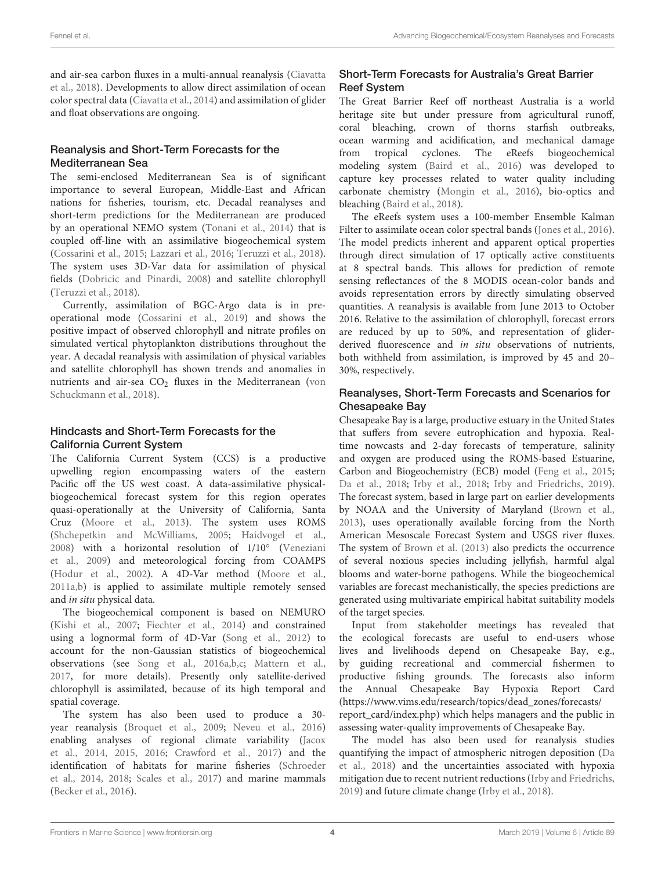and air-sea carbon fluxes in a multi-annual reanalysis [\(Ciavatta](#page-5-10) [et al.,](#page-5-10) [2018\)](#page-5-10). Developments to allow direct assimilation of ocean color spectral data [\(Ciavatta et al.,](#page-5-8) [2014\)](#page-5-8) and assimilation of glider and float observations are ongoing.

### Reanalysis and Short-Term Forecasts for the Mediterranean Sea

The semi-enclosed Mediterranean Sea is of significant importance to several European, Middle-East and African nations for fisheries, tourism, etc. Decadal reanalyses and short-term predictions for the Mediterranean are produced by an operational NEMO system [\(Tonani et al.,](#page-7-17) [2014\)](#page-7-17) that is coupled off-line with an assimilative biogeochemical system [\(Cossarini et al.,](#page-5-16) [2015;](#page-5-16) [Lazzari et al.,](#page-6-20) [2016;](#page-6-20) [Teruzzi et al.,](#page-7-15) [2018\)](#page-7-15). The system uses 3D-Var data for assimilation of physical fields [\(Dobricic and Pinardi,](#page-6-25) [2008\)](#page-6-25) and satellite chlorophyll [\(Teruzzi et al.,](#page-7-15) [2018\)](#page-7-15).

Currently, assimilation of BGC-Argo data is in preoperational mode [\(Cossarini et al.,](#page-6-21) [2019\)](#page-6-21) and shows the positive impact of observed chlorophyll and nitrate profiles on simulated vertical phytoplankton distributions throughout the year. A decadal reanalysis with assimilation of physical variables and satellite chlorophyll has shown trends and anomalies in nutrients and air-sea CO<sub>2</sub> fluxes in the Mediterranean [\(von](#page-7-18) [Schuckmann et al.,](#page-7-18) [2018\)](#page-7-18).

#### Hindcasts and Short-Term Forecasts for the California Current System

The California Current System (CCS) is a productive upwelling region encompassing waters of the eastern Pacific off the US west coast. A data-assimilative physicalbiogeochemical forecast system for this region operates quasi-operationally at the University of California, Santa Cruz [\(Moore et al.,](#page-7-19) [2013\)](#page-7-19). The system uses ROMS [\(Shchepetkin and McWilliams,](#page-7-20) [2005;](#page-7-20) [Haidvogel et al.,](#page-6-26) [2008\)](#page-6-26) with a horizontal resolution of 1/10° [\(Veneziani](#page-7-21) [et al.,](#page-7-21) [2009\)](#page-7-21) and meteorological forcing from COAMPS [\(Hodur et al.,](#page-6-27) [2002\)](#page-6-27). A 4D-Var method [\(Moore et al.,](#page-7-22) [2011a,](#page-7-22)[b\)](#page-7-23) is applied to assimilate multiple remotely sensed and in situ physical data.

The biogeochemical component is based on NEMURO [\(Kishi et al.,](#page-6-28) [2007;](#page-6-28) [Fiechter et al.,](#page-6-29) [2014\)](#page-6-29) and constrained using a lognormal form of 4D-Var [\(Song et al.,](#page-7-24) [2012\)](#page-7-24) to account for the non-Gaussian statistics of biogeochemical observations (see [Song et al.,](#page-7-11) [2016a](#page-7-11)[,b](#page-7-12)[,c;](#page-7-13) [Mattern et al.,](#page-7-14) [2017,](#page-7-14) for more details). Presently only satellite-derived chlorophyll is assimilated, because of its high temporal and spatial coverage.

The system has also been used to produce a 30 year reanalysis [\(Broquet et al.,](#page-5-17) [2009;](#page-5-17) [Neveu et al.,](#page-7-25) [2016\)](#page-7-25) enabling analyses of regional climate variability [\(Jacox](#page-6-30) [et al.,](#page-6-30) [2014,](#page-6-30) [2015,](#page-6-31) [2016;](#page-6-32) [Crawford et al.,](#page-6-33) [2017\)](#page-6-33) and the identification of habitats for marine fisheries [\(Schroeder](#page-7-26) [et al.,](#page-7-26) [2014,](#page-7-26) [2018;](#page-7-27) [Scales et al.,](#page-7-28) [2017\)](#page-7-28) and marine mammals [\(Becker et al.,](#page-5-18) [2016\)](#page-5-18).

## Short-Term Forecasts for Australia's Great Barrier Reef System

The Great Barrier Reef off northeast Australia is a world heritage site but under pressure from agricultural runoff, coral bleaching, crown of thorns starfish outbreaks, ocean warming and acidification, and mechanical damage from tropical cyclones. The eReefs biogeochemical modeling system [\(Baird et al.,](#page-5-11) [2016\)](#page-5-11) was developed to capture key processes related to water quality including carbonate chemistry [\(Mongin et al.,](#page-7-29) [2016\)](#page-7-29), bio-optics and bleaching [\(Baird et al.,](#page-5-12) [2018\)](#page-5-12).

The eReefs system uses a 100-member Ensemble Kalman Filter to assimilate ocean color spectral bands [\(Jones et al.,](#page-6-13) [2016\)](#page-6-13). The model predicts inherent and apparent optical properties through direct simulation of 17 optically active constituents at 8 spectral bands. This allows for prediction of remote sensing reflectances of the 8 MODIS ocean-color bands and avoids representation errors by directly simulating observed quantities. A reanalysis is available from June 2013 to October 2016. Relative to the assimilation of chlorophyll, forecast errors are reduced by up to 50%, and representation of gliderderived fluorescence and in situ observations of nutrients, both withheld from assimilation, is improved by 45 and 20– 30%, respectively.

### Reanalyses, Short-Term Forecasts and Scenarios for Chesapeake Bay

Chesapeake Bay is a large, productive estuary in the United States that suffers from severe eutrophication and hypoxia. Realtime nowcasts and 2-day forecasts of temperature, salinity and oxygen are produced using the ROMS-based Estuarine, Carbon and Biogeochemistry (ECB) model [\(Feng et al.,](#page-6-14) [2015;](#page-6-14) [Da et al.,](#page-6-15) [2018;](#page-6-15) [Irby et al.,](#page-6-1) [2018;](#page-6-1) [Irby and Friedrichs,](#page-6-16) [2019\)](#page-6-16). The forecast system, based in large part on earlier developments by NOAA and the University of Maryland [\(Brown et al.,](#page-5-19) [2013\)](#page-5-19), uses operationally available forcing from the North American Mesoscale Forecast System and USGS river fluxes. The system of [Brown et al.](#page-5-19) [\(2013\)](#page-5-19) also predicts the occurrence of several noxious species including jellyfish, harmful algal blooms and water-borne pathogens. While the biogeochemical variables are forecast mechanistically, the species predictions are generated using multivariate empirical habitat suitability models of the target species.

Input from stakeholder meetings has revealed that the ecological forecasts are useful to end-users whose lives and livelihoods depend on Chesapeake Bay, e.g., by guiding recreational and commercial fishermen to productive fishing grounds. The forecasts also inform the Annual Chesapeake Bay Hypoxia Report Card [\(https://www.vims.edu/research/topics/dead\\_zones/forecasts/](https://www.vims.edu/research/topics/dead_zones/forecasts/report_card/index.php) [report\\_card/index.php\)](https://www.vims.edu/research/topics/dead_zones/forecasts/report_card/index.php) which helps managers and the public in assessing water-quality improvements of Chesapeake Bay.

The model has also been used for reanalysis studies quantifying the impact of atmospheric nitrogen deposition [\(Da](#page-6-15) [et al.,](#page-6-15) [2018\)](#page-6-15) and the uncertainties associated with hypoxia mitigation due to recent nutrient reductions [\(Irby and Friedrichs,](#page-6-16) [2019\)](#page-6-16) and future climate change [\(Irby et al.,](#page-6-1) [2018\)](#page-6-1).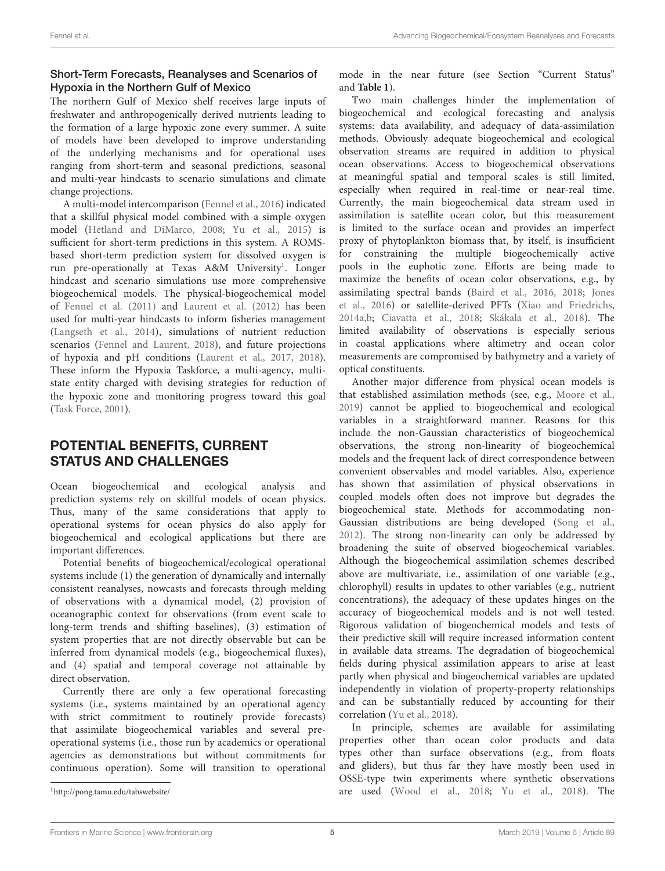## Short-Term Forecasts, Reanalyses and Scenarios of Hypoxia in the Northern Gulf of Mexico

The northern Gulf of Mexico shelf receives large inputs of freshwater and anthropogenically derived nutrients leading to the formation of a large hypoxic zone every summer. A suite of models have been developed to improve understanding of the underlying mechanisms and for operational uses ranging from short-term and seasonal predictions, seasonal and multi-year hindcasts to scenario simulations and climate change projections.

A multi-model intercomparison [\(Fennel et al.,](#page-6-34) [2016\)](#page-6-34) indicated that a skillful physical model combined with a simple oxygen model [\(Hetland and DiMarco,](#page-6-17) [2008;](#page-6-17) [Yu et al.,](#page-8-1) [2015\)](#page-8-1) is sufficient for short-term predictions in this system. A ROMSbased short-term prediction system for dissolved oxygen is run pre-operationally at Texas A&M University<sup>[1](#page-4-0)</sup>. Longer hindcast and scenario simulations use more comprehensive biogeochemical models. The physical-biogeochemical model of [Fennel et al.](#page-6-18) [\(2011\)](#page-6-18) and [Laurent et al.](#page-6-19) [\(2012\)](#page-6-19) has been used for multi-year hindcasts to inform fisheries management [\(Langseth et al.,](#page-6-35) [2014\)](#page-6-35), simulations of nutrient reduction scenarios [\(Fennel and Laurent,](#page-6-36) [2018\)](#page-6-36), and future projections of hypoxia and pH conditions [\(Laurent et al.,](#page-6-37) [2017,](#page-6-37) [2018\)](#page-6-2). These inform the Hypoxia Taskforce, a multi-agency, multistate entity charged with devising strategies for reduction of the hypoxic zone and monitoring progress toward this goal [\(Task Force,](#page-7-30) [2001\)](#page-7-30).

# POTENTIAL BENEFITS, CURRENT STATUS AND CHALLENGES

Ocean biogeochemical and ecological analysis and prediction systems rely on skillful models of ocean physics. Thus, many of the same considerations that apply to operational systems for ocean physics do also apply for biogeochemical and ecological applications but there are important differences.

Potential benefits of biogeochemical/ecological operational systems include (1) the generation of dynamically and internally consistent reanalyses, nowcasts and forecasts through melding of observations with a dynamical model, (2) provision of oceanographic context for observations (from event scale to long-term trends and shifting baselines), (3) estimation of system properties that are not directly observable but can be inferred from dynamical models (e.g., biogeochemical fluxes), and (4) spatial and temporal coverage not attainable by direct observation.

Currently there are only a few operational forecasting systems (i.e., systems maintained by an operational agency with strict commitment to routinely provide forecasts) that assimilate biogeochemical variables and several preoperational systems (i.e., those run by academics or operational agencies as demonstrations but without commitments for continuous operation). Some will transition to operational

mode in the near future (see Section "Current Status" and **[Table 1](#page-2-0)**).

Two main challenges hinder the implementation of biogeochemical and ecological forecasting and analysis systems: data availability, and adequacy of data-assimilation methods. Obviously adequate biogeochemical and ecological observation streams are required in addition to physical ocean observations. Access to biogeochemical observations at meaningful spatial and temporal scales is still limited, especially when required in real-time or near-real time. Currently, the main biogeochemical data stream used in assimilation is satellite ocean color, but this measurement is limited to the surface ocean and provides an imperfect proxy of phytoplankton biomass that, by itself, is insufficient for constraining the multiple biogeochemically active pools in the euphotic zone. Efforts are being made to maximize the benefits of ocean color observations, e.g., by assimilating spectral bands [\(Baird et al.,](#page-5-11) [2016,](#page-5-11) [2018;](#page-5-12) [Jones](#page-6-13) [et al.,](#page-6-13) [2016\)](#page-6-13) or satellite-derived PFTs [\(Xiao and Friedrichs,](#page-7-31) [2014a](#page-7-31)[,b;](#page-7-32) [Ciavatta et al.,](#page-5-10) [2018;](#page-5-10) [Skákala et al.,](#page-7-10) [2018\)](#page-7-10). The limited availability of observations is especially serious in coastal applications where altimetry and ocean color measurements are compromised by bathymetry and a variety of optical constituents.

Another major difference from physical ocean models is that established assimilation methods (see, e.g., [Moore et al.,](#page-7-33) [2019\)](#page-7-33) cannot be applied to biogeochemical and ecological variables in a straightforward manner. Reasons for this include the non-Gaussian characteristics of biogeochemical observations, the strong non-linearity of biogeochemical models and the frequent lack of direct correspondence between convenient observables and model variables. Also, experience has shown that assimilation of physical observations in coupled models often does not improve but degrades the biogeochemical state. Methods for accommodating non-Gaussian distributions are being developed [\(Song et al.,](#page-7-24) [2012\)](#page-7-24). The strong non-linearity can only be addressed by broadening the suite of observed biogeochemical variables. Although the biogeochemical assimilation schemes described above are multivariate, i.e., assimilation of one variable (e.g., chlorophyll) results in updates to other variables (e.g., nutrient concentrations), the adequacy of these updates hinges on the accuracy of biogeochemical models and is not well tested. Rigorous validation of biogeochemical models and tests of their predictive skill will require increased information content in available data streams. The degradation of biogeochemical fields during physical assimilation appears to arise at least partly when physical and biogeochemical variables are updated independently in violation of property-property relationships and can be substantially reduced by accounting for their correlation [\(Yu et al.,](#page-8-2) [2018\)](#page-8-2).

In principle, schemes are available for assimilating properties other than ocean color products and data types other than surface observations (e.g., from floats and gliders), but thus far they have mostly been used in OSSE-type twin experiments where synthetic observations are used [\(Wood et al.,](#page-7-5) [2018;](#page-7-5) [Yu et al.,](#page-8-2) [2018\)](#page-8-2). The

<span id="page-4-0"></span><sup>1</sup><http://pong.tamu.edu/tabswebsite/>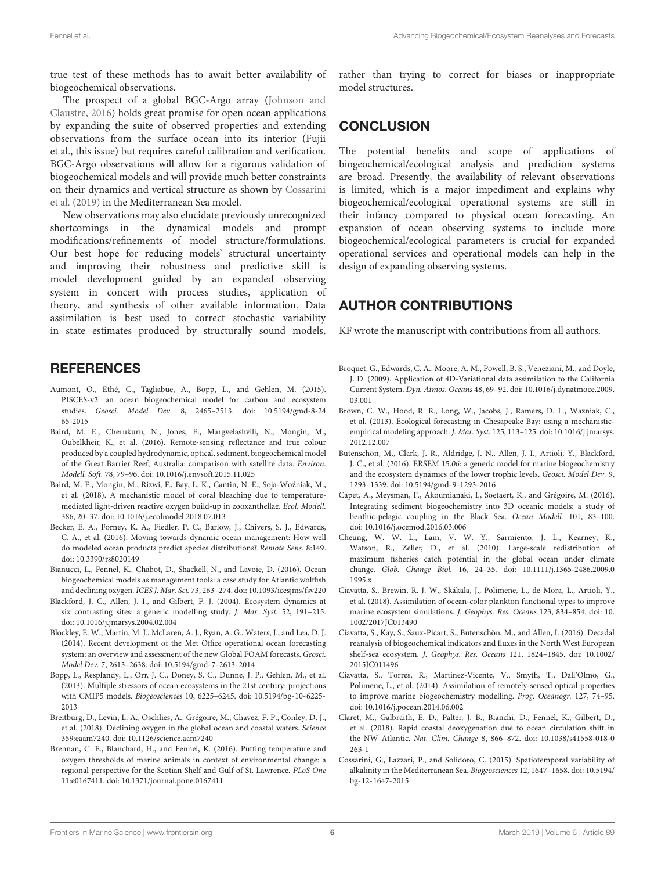true test of these methods has to await better availability of biogeochemical observations.

The prospect of a global BGC-Argo array [\(Johnson and](#page-6-11) [Claustre,](#page-6-11) [2016\)](#page-6-11) holds great promise for open ocean applications by expanding the suite of observed properties and extending observations from the surface ocean into its interior (Fujii et al., this issue) but requires careful calibration and verification. BGC-Argo observations will allow for a rigorous validation of biogeochemical models and will provide much better constraints on their dynamics and vertical structure as shown by [Cossarini](#page-6-21) [et al.](#page-6-21) [\(2019\)](#page-6-21) in the Mediterranean Sea model.

New observations may also elucidate previously unrecognized shortcomings in the dynamical models and prompt modifications/refinements of model structure/formulations. Our best hope for reducing models' structural uncertainty and improving their robustness and predictive skill is model development guided by an expanded observing system in concert with process studies, application of theory, and synthesis of other available information. Data assimilation is best used to correct stochastic variability in state estimates produced by structurally sound models,

## **REFERENCES**

- <span id="page-5-7"></span>Aumont, O., Ethé, C., Tagliabue, A., Bopp, L., and Gehlen, M. (2015). PISCES-v2: an ocean biogeochemical model for carbon and ecosystem studies. Geosci. Model Dev. 8, 2465–2513. [doi: 10.5194/gmd-8-24](https://doi.org/10.5194/gmd-8-2465-2015) [65-2015](https://doi.org/10.5194/gmd-8-2465-2015)
- <span id="page-5-11"></span>Baird, M. E., Cherukuru, N., Jones, E., Margvelashvili, N., Mongin, M., Oubelkheir, K., et al. (2016). Remote-sensing reflectance and true colour produced by a coupled hydrodynamic, optical, sediment, biogeochemical model of the Great Barrier Reef, Australia: comparison with satellite data. Environ. Modell. Soft. 78, 79–96. [doi: 10.1016/j.envsoft.2015.11.025](https://doi.org/10.1016/j.envsoft.2015.11.025)
- <span id="page-5-12"></span>Baird, M. E., Mongin, M., Rizwi, F., Bay, L. K., Cantin, N. E., Soja-Wozniak, M., ´ et al. (2018). A mechanistic model of coral bleaching due to temperaturemediated light-driven reactive oxygen build-up in zooxanthellae. Ecol. Modell. 386, 20–37. [doi: 10.1016/j.ecolmodel.2018.07.013](https://doi.org/10.1016/j.ecolmodel.2018.07.013)
- <span id="page-5-18"></span>Becker, E. A., Forney, K. A., Fiedler, P. C., Barlow, J., Chivers, S. J., Edwards, C. A., et al. (2016). Moving towards dynamic ocean management: How well do modeled ocean products predict species distributions? Remote Sens. 8:149. [doi: 10.3390/rs8020149](https://doi.org/10.3390/rs8020149)
- <span id="page-5-4"></span>Bianucci, L., Fennel, K., Chabot, D., Shackell, N., and Lavoie, D. (2016). Ocean biogeochemical models as management tools: a case study for Atlantic wolffish and declining oxygen. ICES J. Mar. Sci. 73, 263–274. [doi: 10.1093/icesjms/fsv220](https://doi.org/10.1093/icesjms/fsv220)
- <span id="page-5-14"></span>Blackford, J. C., Allen, J. I., and Gilbert, F. J. (2004). Ecosystem dynamics at six contrasting sites: a generic modelling study. J. Mar. Syst. 52, 191–215. [doi: 10.1016/j.jmarsys.2004.02.004](https://doi.org/10.1016/j.jmarsys.2004.02.004)
- <span id="page-5-6"></span>Blockley, E. W., Martin, M. J., McLaren, A. J., Ryan, A. G., Waters, J., and Lea, D. J. (2014). Recent development of the Met Office operational ocean forecasting system: an overview and assessment of the new Global FOAM forecasts. Geosci. Model Dev. 7, 2613–2638. [doi: 10.5194/gmd-7-2613-2014](https://doi.org/10.5194/gmd-7-2613-2014)
- <span id="page-5-0"></span>Bopp, L., Resplandy, L., Orr, J. C., Doney, S. C., Dunne, J. P., Gehlen, M., et al. (2013). Multiple stressors of ocean ecosystems in the 21st century: projections with CMIP5 models. Biogeosciences 10, 6225–6245. [doi: 10.5194/bg-10-6225-](https://doi.org/10.5194/bg-10-6225-2013) [2013](https://doi.org/10.5194/bg-10-6225-2013)
- <span id="page-5-1"></span>Breitburg, D., Levin, L. A., Oschlies, A., Grégoire, M., Chavez, F. P., Conley, D. J., et al. (2018). Declining oxygen in the global ocean and coastal waters. Science 359:eaam7240. [doi: 10.1126/science.aam7240](https://doi.org/10.1126/science.aam7240)
- <span id="page-5-5"></span>Brennan, C. E., Blanchard, H., and Fennel, K. (2016). Putting temperature and oxygen thresholds of marine animals in context of environmental change: a regional perspective for the Scotian Shelf and Gulf of St. Lawrence. PLoS One 11:e0167411. [doi: 10.1371/journal.pone.0167411](https://doi.org/10.1371/journal.pone.0167411)

rather than trying to correct for biases or inappropriate model structures.

## **CONCLUSION**

The potential benefits and scope of applications of biogeochemical/ecological analysis and prediction systems are broad. Presently, the availability of relevant observations is limited, which is a major impediment and explains why biogeochemical/ecological operational systems are still in their infancy compared to physical ocean forecasting. An expansion of ocean observing systems to include more biogeochemical/ecological parameters is crucial for expanded operational services and operational models can help in the design of expanding observing systems.

# AUTHOR CONTRIBUTIONS

KF wrote the manuscript with contributions from all authors.

- <span id="page-5-17"></span>Broquet, G., Edwards, C. A., Moore, A. M., Powell, B. S., Veneziani, M., and Doyle, J. D. (2009). Application of 4D-Variational data assimilation to the California Current System. Dyn. Atmos. Oceans 48, 69–92. [doi: 10.1016/j.dynatmoce.2009.](https://doi.org/10.1016/j.dynatmoce.2009.03.001) [03.001](https://doi.org/10.1016/j.dynatmoce.2009.03.001)
- <span id="page-5-19"></span>Brown, C. W., Hood, R. R., Long, W., Jacobs, J., Ramers, D. L., Wazniak, C., et al. (2013). Ecological forecasting in Chesapeake Bay: using a mechanisticempirical modeling approach. J. Mar. Syst. 125, 113-125. [doi: 10.1016/j.jmarsys.](https://doi.org/10.1016/j.jmarsys.2012.12.007) [2012.12.007](https://doi.org/10.1016/j.jmarsys.2012.12.007)
- <span id="page-5-15"></span>Butenschön, M., Clark, J. R., Aldridge, J. N., Allen, J. I., Artioli, Y., Blackford, J. C., et al. (2016). ERSEM 15.06: a generic model for marine biogeochemistry and the ecosystem dynamics of the lower trophic levels. Geosci. Model Dev. 9, 1293–1339. [doi: 10.5194/gmd-9-1293-2016](https://doi.org/10.5194/gmd-9-1293-2016)
- <span id="page-5-13"></span>Capet, A., Meysman, F., Akoumianaki, I., Soetaert, K., and Grégoire, M. (2016). Integrating sediment biogeochemistry into 3D oceanic models: a study of benthic-pelagic coupling in the Black Sea. Ocean Modell. 101, 83–100. [doi: 10.1016/j.ocemod.2016.03.006](https://doi.org/10.1016/j.ocemod.2016.03.006)
- <span id="page-5-3"></span>Cheung, W. W. L., Lam, V. W. Y., Sarmiento, J. L., Kearney, K., Watson, R., Zeller, D., et al. (2010). Large-scale redistribution of maximum fisheries catch potential in the global ocean under climate change. Glob. Change Biol. 16, 24–35. [doi: 10.1111/j.1365-2486.2009.0](https://doi.org/10.1111/j.1365-2486.2009.01995.x) [1995.x](https://doi.org/10.1111/j.1365-2486.2009.01995.x)
- <span id="page-5-10"></span>Ciavatta, S., Brewin, R. J. W., Skákala, J., Polimene, L., de Mora, L., Artioli, Y., et al. (2018). Assimilation of ocean-color plankton functional types to improve marine ecosystem simulations. J. Geophys. Res. Oceans 123, 834–854. [doi: 10.](https://doi.org/10.1002/2017JC013490) [1002/2017JC013490](https://doi.org/10.1002/2017JC013490)
- <span id="page-5-9"></span>Ciavatta, S., Kay, S., Saux-Picart, S., Butenschön, M., and Allen, I. (2016). Decadal reanalysis of biogeochemical indicators and fluxes in the North West European shelf-sea ecosystem. J. Geophys. Res. Oceans 121, 1824–1845. [doi: 10.1002/](https://doi.org/10.1002/2015JC011496) [2015JC011496](https://doi.org/10.1002/2015JC011496)
- <span id="page-5-8"></span>Ciavatta, S., Torres, R., Martinez-Vicente, V., Smyth, T., Dall'Olmo, G., Polimene, L., et al. (2014). Assimilation of remotely-sensed optical properties to improve marine biogeochemistry modelling. Prog. Oceanogr. 127, 74–95. [doi: 10.1016/j.pocean.2014.06.002](https://doi.org/10.1016/j.pocean.2014.06.002)
- <span id="page-5-2"></span>Claret, M., Galbraith, E. D., Palter, J. B., Bianchi, D., Fennel, K., Gilbert, D., et al. (2018). Rapid coastal deoxygenation due to ocean circulation shift in the NW Atlantic. Nat. Clim. Change 8, 866–872. [doi: 10.1038/s41558-018-0](https://doi.org/10.1038/s41558-018-0263-1) [263-1](https://doi.org/10.1038/s41558-018-0263-1)
- <span id="page-5-16"></span>Cossarini, G., Lazzari, P., and Solidoro, C. (2015). Spatiotemporal variability of alkalinity in the Mediterranean Sea. Biogeosciences 12, 1647–1658. [doi: 10.5194/](https://doi.org/10.5194/bg-12-1647-2015) [bg-12-1647-2015](https://doi.org/10.5194/bg-12-1647-2015)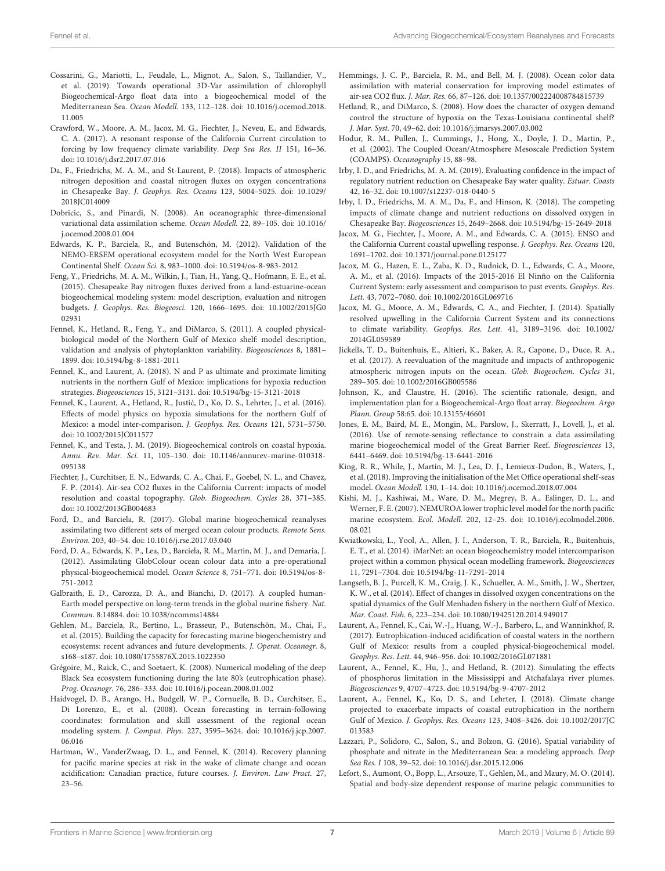- <span id="page-6-21"></span>Cossarini, G., Mariotti, L., Feudale, L., Mignot, A., Salon, S., Taillandier, V., et al. (2019). Towards operational 3D-Var assimilation of chlorophyll Biogeochemical-Argo float data into a biogeochemical model of the Mediterranean Sea. Ocean Modell. 133, 112–128. [doi: 10.1016/j.ocemod.2018.](https://doi.org/10.1016/j.ocemod.2018.11.005) [11.005](https://doi.org/10.1016/j.ocemod.2018.11.005)
- <span id="page-6-33"></span>Crawford, W., Moore, A. M., Jacox, M. G., Fiechter, J., Neveu, E., and Edwards, C. A. (2017). A resonant response of the California Current circulation to forcing by low frequency climate variability. Deep Sea Res. II 151, 16–36. [doi: 10.1016/j.dsr2.2017.07.016](https://doi.org/10.1016/j.dsr2.2017.07.016)
- <span id="page-6-15"></span>Da, F., Friedrichs, M. A. M., and St-Laurent, P. (2018). Impacts of atmospheric nitrogen deposition and coastal nitrogen fluxes on oxygen concentrations in Chesapeake Bay. J. Geophys. Res. Oceans 123, 5004–5025. [doi: 10.1029/](https://doi.org/10.1029/2018JC014009) [2018JC014009](https://doi.org/10.1029/2018JC014009)
- <span id="page-6-25"></span>Dobricic, S., and Pinardi, N. (2008). An oceanographic three-dimensional variational data assimilation scheme. Ocean Modell. 22, 89–105. [doi: 10.1016/](https://doi.org/10.1016/j.ocemod.2008.01.004) [j.ocemod.2008.01.004](https://doi.org/10.1016/j.ocemod.2008.01.004)
- <span id="page-6-12"></span>Edwards, K. P., Barciela, R., and Butenschön, M. (2012). Validation of the NEMO-ERSEM operational ecosystem model for the North West European Continental Shelf. Ocean Sci. 8, 983–1000. [doi: 10.5194/os-8-983-2012](https://doi.org/10.5194/os-8-983-2012)
- <span id="page-6-14"></span>Feng, Y., Friedrichs, M. A. M., Wilkin, J., Tian, H., Yang, Q., Hofmann, E. E., et al. (2015). Chesapeake Bay nitrogen fluxes derived from a land-estuarine-ocean biogeochemical modeling system: model description, evaluation and nitrogen budgets. J. Geophys. Res. Biogeosci. 120, 1666–1695. [doi: 10.1002/2015JG0](https://doi.org/10.1002/2015JG002931) [02931](https://doi.org/10.1002/2015JG002931)
- <span id="page-6-18"></span>Fennel, K., Hetland, R., Feng, Y., and DiMarco, S. (2011). A coupled physicalbiological model of the Northern Gulf of Mexico shelf: model description, validation and analysis of phytoplankton variability. Biogeosciences 8, 1881– 1899. [doi: 10.5194/bg-8-1881-2011](https://doi.org/10.5194/bg-8-1881-2011)
- <span id="page-6-36"></span>Fennel, K., and Laurent, A. (2018). N and P as ultimate and proximate limiting nutrients in the northern Gulf of Mexico: implications for hypoxia reduction strategies. Biogeosciences 15, 3121–3131. [doi: 10.5194/bg-15-3121-2018](https://doi.org/10.5194/bg-15-3121-2018)
- <span id="page-6-34"></span>Fennel, K., Laurent, A., Hetland, R., Justić, D., Ko, D. S., Lehrter, J., et al. (2016). Effects of model physics on hypoxia simulations for the northern Gulf of Mexico: a model inter-comparison. J. Geophys. Res. Oceans 121, 5731–5750. [doi: 10.1002/2015JC011577](https://doi.org/10.1002/2015JC011577)
- <span id="page-6-3"></span>Fennel, K., and Testa, J. M. (2019). Biogeochemical controls on coastal hypoxia. Annu. Rev. Mar. Sci. 11, 105–130. [doi: 10.1146/annurev-marine-010318-](https://doi.org/10.1146/annurev-marine-010318-095138) [095138](https://doi.org/10.1146/annurev-marine-010318-095138)
- <span id="page-6-29"></span>Fiechter, J., Curchitser, E. N., Edwards, C. A., Chai, F., Goebel, N. L., and Chavez, F. P. (2014). Air-sea CO2 fluxes in the California Current: impacts of model resolution and coastal topography. Glob. Biogeochem. Cycles 28, 371–385. [doi: 10.1002/2013GB004683](https://doi.org/10.1002/2013GB004683)
- <span id="page-6-10"></span>Ford, D., and Barciela, R. (2017). Global marine biogeochemical reanalyses assimilating two different sets of merged ocean colour products. Remote Sens. Environ. 203, 40–54. [doi: 10.1016/j.rse.2017.03.040](https://doi.org/10.1016/j.rse.2017.03.040)
- <span id="page-6-9"></span>Ford, D. A., Edwards, K. P., Lea, D., Barciela, R. M., Martin, M. J., and Demaria, J. (2012). Assimilating GlobColour ocean colour data into a pre-operational physical-biogeochemical model. Ocean Science 8, 751–771. [doi: 10.5194/os-8-](https://doi.org/10.5194/os-8-751-2012) [751-2012](https://doi.org/10.5194/os-8-751-2012)
- <span id="page-6-4"></span>Galbraith, E. D., Carozza, D. A., and Bianchi, D. (2017). A coupled human-Earth model perspective on long-term trends in the global marine fishery. Nat. Commun. 8:14884. [doi: 10.1038/ncomms14884](https://doi.org/10.1038/ncomms14884)
- <span id="page-6-6"></span>Gehlen, M., Barciela, R., Bertino, L., Brasseur, P., Butenschön, M., Chai, F., et al. (2015). Building the capacity for forecasting marine biogeochemistry and ecosystems: recent advances and future developments. J. Operat. Oceanogr. 8, s168–s187. [doi: 10.1080/1755876X.2015.1022350](https://doi.org/10.1080/1755876X.2015.1022350)
- <span id="page-6-22"></span>Grégoire, M., Raick, C., and Soetaert, K. (2008). Numerical modeling of the deep Black Sea ecosystem functioning during the late 80's (eutrophication phase). Prog. Oceanogr. 76, 286–333. [doi: 10.1016/j.pocean.2008.01.002](https://doi.org/10.1016/j.pocean.2008.01.002)
- <span id="page-6-26"></span>Haidvogel, D. B., Arango, H., Budgell, W. P., Cornuelle, B. D., Curchitser, E., Di Lorenzo, E., et al. (2008). Ocean forecasting in terrain-following coordinates: formulation and skill assessment of the regional ocean modeling system. J. Comput. Phys. 227, 3595–3624. [doi: 10.1016/j.jcp.2007.](https://doi.org/10.1016/j.jcp.2007.06.016) [06.016](https://doi.org/10.1016/j.jcp.2007.06.016)
- <span id="page-6-5"></span>Hartman, W., VanderZwaag, D. L., and Fennel, K. (2014). Recovery planning for pacific marine species at risk in the wake of climate change and ocean acidification: Canadian practice, future courses. J. Environ. Law Pract. 27, 23–56.
- <span id="page-6-8"></span>Hemmings, J. C. P., Barciela, R. M., and Bell, M. J. (2008). Ocean color data assimilation with material conservation for improving model estimates of air-sea CO2 flux. J. Mar. Res. 66, 87–126. [doi: 10.1357/002224008784815739](https://doi.org/10.1357/002224008784815739)
- <span id="page-6-17"></span>Hetland, R., and DiMarco, S. (2008). How does the character of oxygen demand control the structure of hypoxia on the Texas-Louisiana continental shelf? J. Mar. Syst. 70, 49–62. [doi: 10.1016/j.jmarsys.2007.03.002](https://doi.org/10.1016/j.jmarsys.2007.03.002)
- <span id="page-6-27"></span>Hodur, R. M., Pullen, J., Cummings, J., Hong, X., Doyle, J. D., Martin, P., et al. (2002). The Coupled Ocean/Atmosphere Mesoscale Prediction System (COAMPS). Oceanography 15, 88–98.
- <span id="page-6-16"></span>Irby, I. D., and Friedrichs, M. A. M. (2019). Evaluating confidence in the impact of regulatory nutrient reduction on Chesapeake Bay water quality. Estuar. Coasts 42, 16–32. [doi: 10.1007/s12237-018-0440-5](https://doi.org/10.1007/s12237-018-0440-5)
- <span id="page-6-1"></span>Irby, I. D., Friedrichs, M. A. M., Da, F., and Hinson, K. (2018). The competing impacts of climate change and nutrient reductions on dissolved oxygen in Chesapeake Bay. Biogeosciences 15, 2649–2668. [doi: 10.5194/bg-15-2649-2018](https://doi.org/10.5194/bg-15-2649-2018)
- <span id="page-6-31"></span>Jacox, M. G., Fiechter, J., Moore, A. M., and Edwards, C. A. (2015). ENSO and the California Current coastal upwelling response. J. Geophys. Res. Oceans 120, 1691–1702. [doi: 10.1371/journal.pone.0125177](https://doi.org/10.1371/journal.pone.0125177)
- <span id="page-6-32"></span>Jacox, M. G., Hazen, E. L., Zaba, K. D., Rudnick, D. L., Edwards, C. A., Moore, A. M., et al. (2016). Impacts of the 2015-2016 El Ninño on the California Current System: early assessment and comparison to past events. Geophys. Res. Lett. 43, 7072–7080. [doi: 10.1002/2016GL069716](https://doi.org/10.1002/2016GL069716)
- <span id="page-6-30"></span>Jacox, M. G., Moore, A. M., Edwards, C. A., and Fiechter, J. (2014). Spatially resolved upwelling in the California Current System and its connections to climate variability. Geophys. Res. Lett. 41, 3189–3196. [doi: 10.1002/](https://doi.org/10.1002/2014GL059589) [2014GL059589](https://doi.org/10.1002/2014GL059589)
- <span id="page-6-0"></span>Jickells, T. D., Buitenhuis, E., Altieri, K., Baker, A. R., Capone, D., Duce, R. A., et al. (2017). A reevaluation of the magnitude and impacts of anthropogenic atmospheric nitrogen inputs on the ocean. Glob. Biogeochem. Cycles 31, 289–305. [doi: 10.1002/2016GB005586](https://doi.org/10.1002/2016GB005586)
- <span id="page-6-11"></span>Johnson, K., and Claustre, H. (2016). The scientific rationale, design, and implementation plan for a Biogeochemical-Argo float array. Biogeochem. Argo Plann. Group 58:65. [doi: 10.13155/46601](https://doi.org/10.13155/46601)
- <span id="page-6-13"></span>Jones, E. M., Baird, M. E., Mongin, M., Parslow, J., Skerratt, J., Lovell, J., et al. (2016). Use of remote-sensing reflectance to constrain a data assimilating marine biogeochemical model of the Great Barrier Reef. Biogeosciences 13, 6441–6469. [doi: 10.5194/bg-13-6441-2016](https://doi.org/10.5194/bg-13-6441-2016)
- <span id="page-6-24"></span>King, R. R., While, J., Martin, M. J., Lea, D. J., Lemieux-Dudon, B., Waters, J., et al. (2018). Improving the initialisation of the Met Office operational shelf-seas model. Ocean Modell. 130, 1–14. [doi: 10.1016/j.ocemod.2018.07.004](https://doi.org/10.1016/j.ocemod.2018.07.004)
- <span id="page-6-28"></span>Kishi, M. J., Kashiwai, M., Ware, D. M., Megrey, B. A., Eslinger, D. L., and Werner, F. E. (2007). NEMUROA lower trophic level model for the north pacific marine ecosystem. Ecol. Modell. 202, 12–25. [doi: 10.1016/j.ecolmodel.2006.](https://doi.org/10.1016/j.ecolmodel.2006.08.021) [08.021](https://doi.org/10.1016/j.ecolmodel.2006.08.021)
- <span id="page-6-7"></span>Kwiatkowski, L., Yool, A., Allen, J. I., Anderson, T. R., Barciela, R., Buitenhuis, E. T., et al. (2014). iMarNet: an ocean biogeochemistry model intercomparison project within a common physical ocean modelling framework. Biogeosciences 11, 7291–7304. [doi: 10.5194/bg-11-7291-2014](https://doi.org/10.5194/bg-11-7291-2014)
- <span id="page-6-35"></span>Langseth, B. J., Purcell, K. M., Craig, J. K., Schueller, A. M., Smith, J. W., Shertzer, K. W., et al. (2014). Effect of changes in dissolved oxygen concentrations on the spatial dynamics of the Gulf Menhaden fishery in the northern Gulf of Mexico. Mar. Coast. Fish. 6, 223–234. [doi: 10.1080/19425120.2014.949017](https://doi.org/10.1080/19425120.2014.949017)
- <span id="page-6-37"></span>Laurent, A., Fennel, K., Cai, W.-J., Huang, W.-J., Barbero, L., and Wanninkhof, R. (2017). Eutrophication-induced acidification of coastal waters in the northern Gulf of Mexico: results from a coupled physical-biogeochemical model. Geophys. Res. Lett. 44, 946–956. [doi: 10.1002/2016GL071881](https://doi.org/10.1002/2016GL071881)
- <span id="page-6-19"></span>Laurent, A., Fennel, K., Hu, J., and Hetland, R. (2012). Simulating the effects of phosphorus limitation in the Mississippi and Atchafalaya river plumes. Biogeosciences 9, 4707–4723. [doi: 10.5194/bg-9-4707-2012](https://doi.org/10.5194/bg-9-4707-2012)
- <span id="page-6-2"></span>Laurent, A., Fennel, K., Ko, D. S., and Lehrter, J. (2018). Climate change projected to exacerbate impacts of coastal eutrophication in the northern Gulf of Mexico. J. Geophys. Res. Oceans 123, 3408–3426. [doi: 10.1002/2017JC](https://doi.org/10.1002/2017JC013583) [013583](https://doi.org/10.1002/2017JC013583)
- <span id="page-6-20"></span>Lazzari, P., Solidoro, C., Salon, S., and Bolzon, G. (2016). Spatial variability of phosphate and nitrate in the Mediterranean Sea: a modeling approach. Deep Sea Res. I 108, 39–52. [doi: 10.1016/j.dsr.2015.12.006](https://doi.org/10.1016/j.dsr.2015.12.006)
- <span id="page-6-23"></span>Lefort, S., Aumont, O., Bopp, L., Arsouze, T., Gehlen, M., and Maury, M. O. (2014). Spatial and body-size dependent response of marine pelagic communities to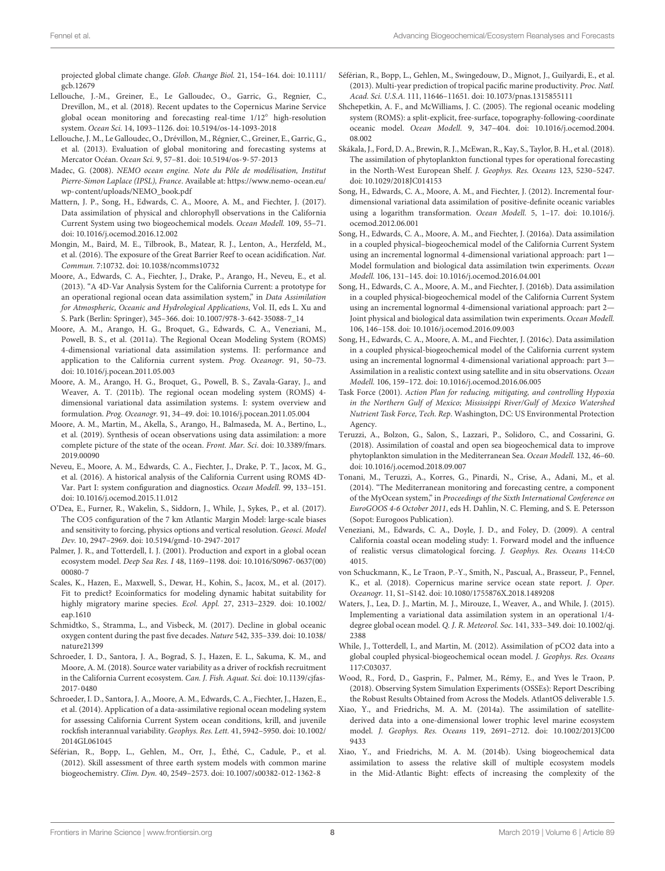projected global climate change. Glob. Change Biol. 21, 154–164. [doi: 10.1111/](https://doi.org/10.1111/gcb.12679) [gcb.12679](https://doi.org/10.1111/gcb.12679)

- <span id="page-7-6"></span>Lellouche, J.-M., Greiner, E., Le Galloudec, O., Garric, G., Regnier, C., Drevillon, M., et al. (2018). Recent updates to the Copernicus Marine Service global ocean monitoring and forecasting real-time 1/12◦ high-resolution system. Ocean Sci. 14, 1093–1126. [doi: 10.5194/os-14-1093-2018](https://doi.org/10.5194/os-14-1093-2018)
- <span id="page-7-7"></span>Lellouche, J. M., Le Galloudec, O., Drévillon, M., Régnier, C., Greiner, E., Garric, G., et al. (2013). Evaluation of global monitoring and forecasting systems at Mercator Océan. Ocean Sci. 9, 57–81. [doi: 10.5194/os-9-57-2013](https://doi.org/10.5194/os-9-57-2013)
- <span id="page-7-1"></span>Madec, G. (2008). NEMO ocean engine. Note du Pôle de modélisation, Institut Pierre-Simon Laplace (IPSL), France. Available at: [https://www.nemo-ocean.eu/](https://www.nemo-ocean.eu/wp-content/uploads/NEMO_book.pdf) [wp-content/uploads/NEMO\\_book.pdf](https://www.nemo-ocean.eu/wp-content/uploads/NEMO_book.pdf)
- <span id="page-7-14"></span>Mattern, J. P., Song, H., Edwards, C. A., Moore, A. M., and Fiechter, J. (2017). Data assimilation of physical and chlorophyll observations in the California Current System using two biogeochemical models. Ocean Modell. 109, 55–71. [doi: 10.1016/j.ocemod.2016.12.002](https://doi.org/10.1016/j.ocemod.2016.12.002)
- <span id="page-7-29"></span>Mongin, M., Baird, M. E., Tilbrook, B., Matear, R. J., Lenton, A., Herzfeld, M., et al. (2016). The exposure of the Great Barrier Reef to ocean acidification. Nat. Commun. 7:10732. [doi: 10.1038/ncomms10732](https://doi.org/10.1038/ncomms10732)
- <span id="page-7-19"></span>Moore, A., Edwards, C. A., Fiechter, J., Drake, P., Arango, H., Neveu, E., et al. (2013). "A 4D-Var Analysis System for the California Current: a prototype for an operational regional ocean data assimilation system," in Data Assimilation for Atmospheric, Oceanic and Hydrological Applications, Vol. II, eds L. Xu and S. Park (Berlin: Springer), 345–366. [doi: 10.1007/978-3-642-35088-7\\_14](https://doi.org/10.1007/978-3-642-35088-7_14)
- <span id="page-7-22"></span>Moore, A. M., Arango, H. G., Broquet, G., Edwards, C. A., Veneziani, M., Powell, B. S., et al. (2011a). The Regional Ocean Modeling System (ROMS) 4-dimensional variational data assimilation systems. II: performance and application to the California current system. Prog. Oceanogr. 91, 50–73. [doi: 10.1016/j.pocean.2011.05.003](https://doi.org/10.1016/j.pocean.2011.05.003)
- <span id="page-7-23"></span>Moore, A. M., Arango, H. G., Broquet, G., Powell, B. S., Zavala-Garay, J., and Weaver, A. T. (2011b). The regional ocean modeling system (ROMS) 4 dimensional variational data assimilation systems. I: system overview and formulation. Prog. Oceanogr. 91, 34–49. [doi: 10.1016/j.pocean.2011.05.004](https://doi.org/10.1016/j.pocean.2011.05.004)
- <span id="page-7-33"></span>Moore, A. M., Martin, M., Akella, S., Arango, H., Balmaseda, M. A., Bertino, L., et al. (2019). Synthesis of ocean observations using data assimilation: a more complete picture of the state of the ocean. Front. Mar. Sci. [doi: 10.3389/fmars.](https://doi.org/10.3389/fmars.2019.00090) [2019.00090](https://doi.org/10.3389/fmars.2019.00090)
- <span id="page-7-25"></span>Neveu, E., Moore, A. M., Edwards, C. A., Fiechter, J., Drake, P. T., Jacox, M. G., et al. (2016). A historical analysis of the California Current using ROMS 4D-Var. Part I: system configuration and diagnostics. Ocean Modell. 99, 133–151. [doi: 10.1016/j.ocemod.2015.11.012](https://doi.org/10.1016/j.ocemod.2015.11.012)
- <span id="page-7-9"></span>O'Dea, E., Furner, R., Wakelin, S., Siddorn, J., While, J., Sykes, P., et al. (2017). The CO5 configuration of the 7 km Atlantic Margin Model: large-scale biases and sensitivity to forcing, physics options and vertical resolution. Geosci. Model Dev. 10, 2947–2969. [doi: 10.5194/gmd-10-2947-2017](https://doi.org/10.5194/gmd-10-2947-2017)
- <span id="page-7-3"></span>Palmer, J. R., and Totterdell, I. J. (2001). Production and export in a global ocean ecosystem model. Deep Sea Res. I 48, 1169–1198. [doi: 10.1016/S0967-0637\(00\)](https://doi.org/10.1016/S0967-0637(00)00080-7) [00080-7](https://doi.org/10.1016/S0967-0637(00)00080-7)
- <span id="page-7-28"></span>Scales, K., Hazen, E., Maxwell, S., Dewar, H., Kohin, S., Jacox, M., et al. (2017). Fit to predict? Ecoinformatics for modeling dynamic habitat suitability for highly migratory marine species. Ecol. Appl. 27, 2313–2329. [doi: 10.1002/](https://doi.org/10.1002/eap.1610) [eap.1610](https://doi.org/10.1002/eap.1610)
- <span id="page-7-0"></span>Schmidtko, S., Stramma, L., and Visbeck, M. (2017). Decline in global oceanic oxygen content during the past five decades. Nature 542, 335–339. [doi: 10.1038/](https://doi.org/10.1038/nature21399) [nature21399](https://doi.org/10.1038/nature21399)
- <span id="page-7-27"></span>Schroeder, I. D., Santora, J. A., Bograd, S. J., Hazen, E. L., Sakuma, K. M., and Moore, A. M. (2018). Source water variability as a driver of rockfish recruitment in the California Current ecosystem. Can. J. Fish. Aquat. Sci. [doi: 10.1139/cjfas-](https://doi.org/10.1139/cjfas-2017-0480)[2017-0480](https://doi.org/10.1139/cjfas-2017-0480)
- <span id="page-7-26"></span>Schroeder, I. D., Santora, J. A., Moore, A. M., Edwards, C. A., Fiechter, J., Hazen, E., et al. (2014). Application of a data-assimilative regional ocean modeling system for assessing California Current System ocean conditions, krill, and juvenile rockfish interannual variability. Geophys. Res. Lett. 41, 5942–5950. [doi: 10.1002/](https://doi.org/10.1002/2014GL061045) [2014GL061045](https://doi.org/10.1002/2014GL061045)
- <span id="page-7-8"></span>Séférian, R., Bopp, L., Gehlen, M., Orr, J., Éthé, C., Cadule, P., et al. (2012). Skill assessment of three earth system models with common marine biogeochemistry. Clim. Dyn. 40, 2549–2573. [doi: 10.1007/s00382-012-1362-8](https://doi.org/10.1007/s00382-012-1362-8)
- <span id="page-7-16"></span>Séférian, R., Bopp, L., Gehlen, M., Swingedouw, D., Mignot, J., Guilyardi, E., et al. (2013). Multi-year prediction of tropical pacific marine productivity. Proc. Natl. Acad. Sci. U.S.A. 111, 11646–11651. [doi: 10.1073/pnas.1315855111](https://doi.org/10.1073/pnas.1315855111)
- <span id="page-7-20"></span>Shchepetkin, A. F., and McWilliams, J. C. (2005). The regional oceanic modeling system (ROMS): a split-explicit, free-surface, topography-following-coordinate oceanic model. Ocean Modell. 9, 347–404. [doi: 10.1016/j.ocemod.2004.](https://doi.org/10.1016/j.ocemod.2004.08.002) [08.002](https://doi.org/10.1016/j.ocemod.2004.08.002)
- <span id="page-7-10"></span>Skákala, J., Ford, D. A., Brewin, R. J., McEwan, R., Kay, S., Taylor, B. H., et al. (2018). The assimilation of phytoplankton functional types for operational forecasting in the North-West European Shelf. J. Geophys. Res. Oceans 123, 5230–5247. [doi: 10.1029/2018JC014153](https://doi.org/10.1029/2018JC014153)
- <span id="page-7-24"></span>Song, H., Edwards, C. A., Moore, A. M., and Fiechter, J. (2012). Incremental fourdimensional variational data assimilation of positive-definite oceanic variables using a logarithm transformation. Ocean Modell. 5, 1–17. [doi: 10.1016/j.](https://doi.org/10.1016/j.ocemod.2012.06.001) [ocemod.2012.06.001](https://doi.org/10.1016/j.ocemod.2012.06.001)
- <span id="page-7-11"></span>Song, H., Edwards, C. A., Moore, A. M., and Fiechter, J. (2016a). Data assimilation in a coupled physical–biogeochemical model of the California Current System using an incremental lognormal 4-dimensional variational approach: part 1— Model formulation and biological data assimilation twin experiments. Ocean Modell. 106, 131–145. [doi: 10.1016/j.ocemod.2016.04.001](https://doi.org/10.1016/j.ocemod.2016.04.001)
- <span id="page-7-12"></span>Song, H., Edwards, C. A., Moore, A. M., and Fiechter, J. (2016b). Data assimilation in a coupled physical-biogeochemical model of the California Current System using an incremental lognormal 4-dimensional variational approach: part 2— Joint physical and biological data assimilation twin experiments. Ocean Modell. 106, 146–158. [doi: 10.1016/j.ocemod.2016.09.003](https://doi.org/10.1016/j.ocemod.2016.09.003)
- <span id="page-7-13"></span>Song, H., Edwards, C. A., Moore, A. M., and Fiechter, J. (2016c). Data assimilation in a coupled physical-biogeochemical model of the California current system using an incremental lognormal 4-dimensional variational approach: part 3— Assimilation in a realistic context using satellite and in situ observations. Ocean Modell. 106, 159–172. [doi: 10.1016/j.ocemod.2016.06.005](https://doi.org/10.1016/j.ocemod.2016.06.005)
- <span id="page-7-30"></span>Task Force (2001). Action Plan for reducing, mitigating, and controlling Hypoxia in the Northern Gulf of Mexico; Mississippi River/Gulf of Mexico Watershed Nutrient Task Force, Tech. Rep. Washington, DC: US Environmental Protection Agency.
- <span id="page-7-15"></span>Teruzzi, A., Bolzon, G., Salon, S., Lazzari, P., Solidoro, C., and Cossarini, G. (2018). Assimilation of coastal and open sea biogeochemical data to improve phytoplankton simulation in the Mediterranean Sea. Ocean Modell. 132, 46–60. [doi: 10.1016/j.ocemod.2018.09.007](https://doi.org/10.1016/j.ocemod.2018.09.007)
- <span id="page-7-17"></span>Tonani, M., Teruzzi, A., Korres, G., Pinardi, N., Crise, A., Adani, M., et al. (2014). "The Mediterranean monitoring and forecasting centre, a component of the MyOcean system," in Proceedings of the Sixth International Conference on EuroGOOS 4-6 October 2011, eds H. Dahlin, N. C. Fleming, and S. E. Petersson (Sopot: Eurogoos Publication).
- <span id="page-7-21"></span>Veneziani, M., Edwards, C. A., Doyle, J. D., and Foley, D. (2009). A central California coastal ocean modeling study: 1. Forward model and the influence of realistic versus climatological forcing. J. Geophys. Res. Oceans 114:C0 4015.
- <span id="page-7-18"></span>von Schuckmann, K., Le Traon, P.-Y., Smith, N., Pascual, A., Brasseur, P., Fennel, K., et al. (2018). Copernicus marine service ocean state report. J. Oper. Oceanogr. 11, S1–S142. [doi: 10.1080/1755876X.2018.1489208](https://doi.org/10.1080/1755876X.2018.1489208)
- <span id="page-7-2"></span>Waters, J., Lea, D. J., Martin, M. J., Mirouze, I., Weaver, A., and While, J. (2015). Implementing a variational data assimilation system in an operational 1/4 degree global ocean model. Q. J. R. Meteorol. Soc. 141, 333–349. [doi: 10.1002/qj.](https://doi.org/10.1002/qj.2388) [2388](https://doi.org/10.1002/qj.2388)
- <span id="page-7-4"></span>While, J., Totterdell, I., and Martin, M. (2012). Assimilation of pCO2 data into a global coupled physical-biogeochemical ocean model. J. Geophys. Res. Oceans 117:C03037.
- <span id="page-7-5"></span>Wood, R., Ford, D., Gasprin, F., Palmer, M., Rémy, E., and Yves le Traon, P. (2018). Observing System Simulation Experiments (OSSEs): Report Describing the Robust Results Obtained from Across the Models. AtlantOS deliverable 1.5.
- <span id="page-7-31"></span>Xiao, Y., and Friedrichs, M. A. M. (2014a). The assimilation of satellitederived data into a one-dimensional lower trophic level marine ecosystem model. J. Geophys. Res. Oceans 119, 2691–2712. [doi: 10.1002/2013JC00](https://doi.org/10.1002/2013JC009433) [9433](https://doi.org/10.1002/2013JC009433)
- <span id="page-7-32"></span>Xiao, Y., and Friedrichs, M. A. M. (2014b). Using biogeochemical data assimilation to assess the relative skill of multiple ecosystem models in the Mid-Atlantic Bight: effects of increasing the complexity of the